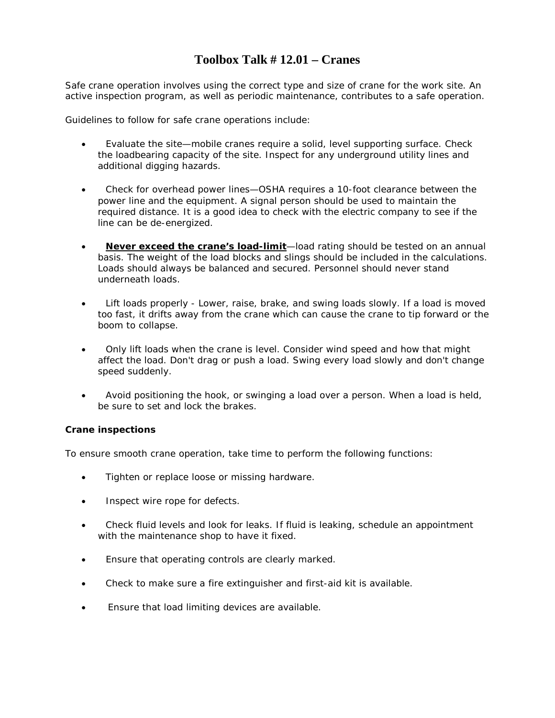#### **Toolbox Talk # 12.01 – Cranes**

Safe crane operation involves using the correct type and size of crane for the work site. An active inspection program, as well as periodic maintenance, contributes to a safe operation.

Guidelines to follow for safe crane operations include:

- Evaluate the site—mobile cranes require a solid, level supporting surface. Check the loadbearing capacity of the site. Inspect for any underground utility lines and additional digging hazards.
- Check for overhead power lines—OSHA requires a 10-foot clearance between the power line and the equipment. A signal person should be used to maintain the required distance. It is a good idea to check with the electric company to see if the line can be de-energized.
- **Never exceed the crane's load-limit**—load rating should be tested on an annual basis. The weight of the load blocks and slings should be included in the calculations. Loads should always be balanced and secured. Personnel should never stand underneath loads.
- Lift loads properly Lower, raise, brake, and swing loads slowly. If a load is moved too fast, it drifts away from the crane which can cause the crane to tip forward or the boom to collapse.
- Only lift loads when the crane is level. Consider wind speed and how that might affect the load. Don't drag or push a load. Swing every load slowly and don't change speed suddenly.
- Avoid positioning the hook, or swinging a load over a person. When a load is held, be sure to set and lock the brakes.

#### **Crane inspections**

To ensure smooth crane operation, take time to perform the following functions:

- Tighten or replace loose or missing hardware.
- Inspect wire rope for defects.
- Check fluid levels and look for leaks. If fluid is leaking, schedule an appointment with the maintenance shop to have it fixed.
- Ensure that operating controls are clearly marked.
- Check to make sure a fire extinguisher and first-aid kit is available.
- Ensure that load limiting devices are available.